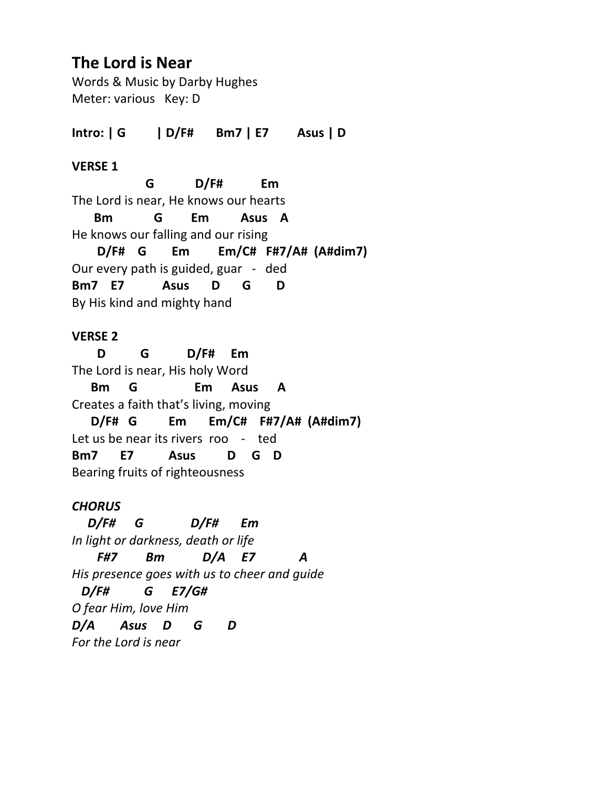# **The Lord is Near**

Words & Music by Darby Hughes Meter: various Key: D

**Intro: | G | D/F# Bm7 | E7 Asus | D** 

## **VERSE 1**

 **G D/F# Em** The Lord is near, He knows our hearts  **Bm G Em Asus A** He knows our falling and our rising  **D/F# G Em Em/C# F#7/A# (A#dim7)** Our every path is guided, guar - ded **Bm7 E7 Asus D G D** By His kind and mighty hand

# **VERSE 2**

 **D G D/F# Em** The Lord is near, His holy Word  **Bm G Em Asus A** Creates a faith that's living, moving  **D/F# G Em Em/C# F#7/A# (A#dim7)**  Let us be near its rivers roo - ted **Bm7 E7 Asus D G D** Bearing fruits of righteousness

# *CHORUS*

 *D/F# G D/F# Em In light or darkness, death or life F#7 Bm D/A E7 A His presence goes with us to cheer and guide D/F# G E7/G# O fear Him, love Him D/A Asus D G D For the Lord is near*